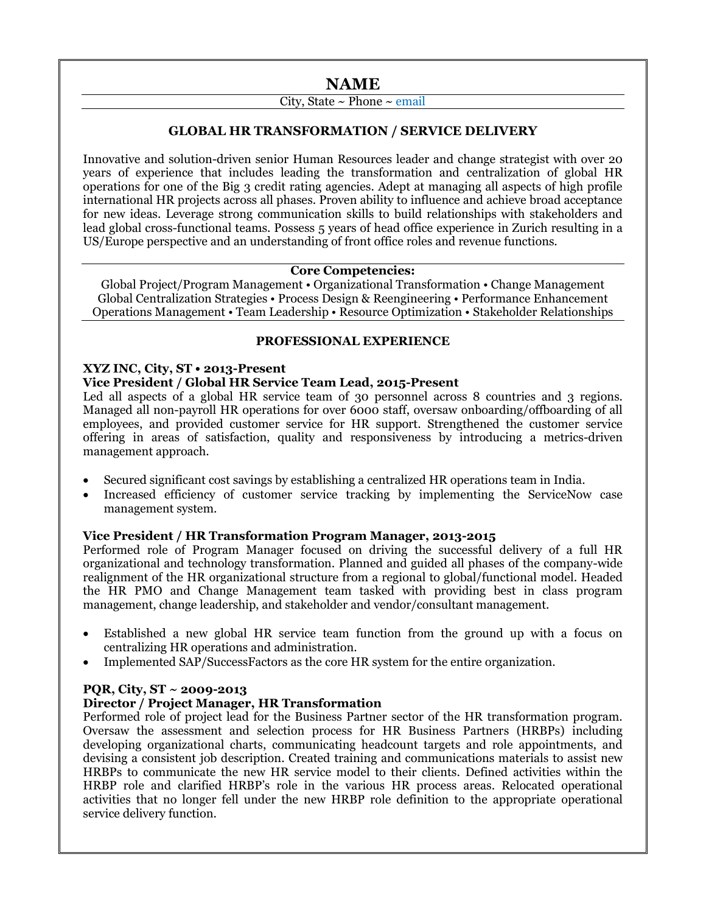# **NAME**

## City, State ~ Phone ~ email

## **GLOBAL HR TRANSFORMATION / SERVICE DELIVERY**

Innovative and solution-driven senior Human Resources leader and change strategist with over 20 years of experience that includes leading the transformation and centralization of global HR operations for one of the Big 3 credit rating agencies. Adept at managing all aspects of high profile international HR projects across all phases. Proven ability to influence and achieve broad acceptance for new ideas. Leverage strong communication skills to build relationships with stakeholders and lead global cross-functional teams. Possess 5 years of head office experience in Zurich resulting in a US/Europe perspective and an understanding of front office roles and revenue functions.

## **Core Competencies:**

Global Project/Program Management • Organizational Transformation • Change Management Global Centralization Strategies • Process Design & Reengineering • Performance Enhancement Operations Management • Team Leadership • Resource Optimization • Stakeholder Relationships

## **PROFESSIONAL EXPERIENCE**

## **XYZ INC, City, ST • 2013-Present**

## **Vice President / Global HR Service Team Lead, 2015-Present**

Led all aspects of a global HR service team of 30 personnel across 8 countries and 3 regions. Managed all non-payroll HR operations for over 6000 staff, oversaw onboarding/offboarding of all employees, and provided customer service for HR support. Strengthened the customer service offering in areas of satisfaction, quality and responsiveness by introducing a metrics-driven management approach.

- Secured significant cost savings by establishing a centralized HR operations team in India.
- Increased efficiency of customer service tracking by implementing the ServiceNow case management system.

## **Vice President / HR Transformation Program Manager, 2013-2015**

Performed role of Program Manager focused on driving the successful delivery of a full HR organizational and technology transformation. Planned and guided all phases of the company-wide realignment of the HR organizational structure from a regional to global/functional model. Headed the HR PMO and Change Management team tasked with providing best in class program management, change leadership, and stakeholder and vendor/consultant management.

- Established a new global HR service team function from the ground up with a focus on centralizing HR operations and administration.
- Implemented SAP/SuccessFactors as the core HR system for the entire organization.

## **PQR, City, ST ~ 2009-2013**

## **Director / Project Manager, HR Transformation**

Performed role of project lead for the Business Partner sector of the HR transformation program. Oversaw the assessment and selection process for HR Business Partners (HRBPs) including developing organizational charts, communicating headcount targets and role appointments, and devising a consistent job description. Created training and communications materials to assist new HRBPs to communicate the new HR service model to their clients. Defined activities within the HRBP role and clarified HRBP's role in the various HR process areas. Relocated operational activities that no longer fell under the new HRBP role definition to the appropriate operational service delivery function.